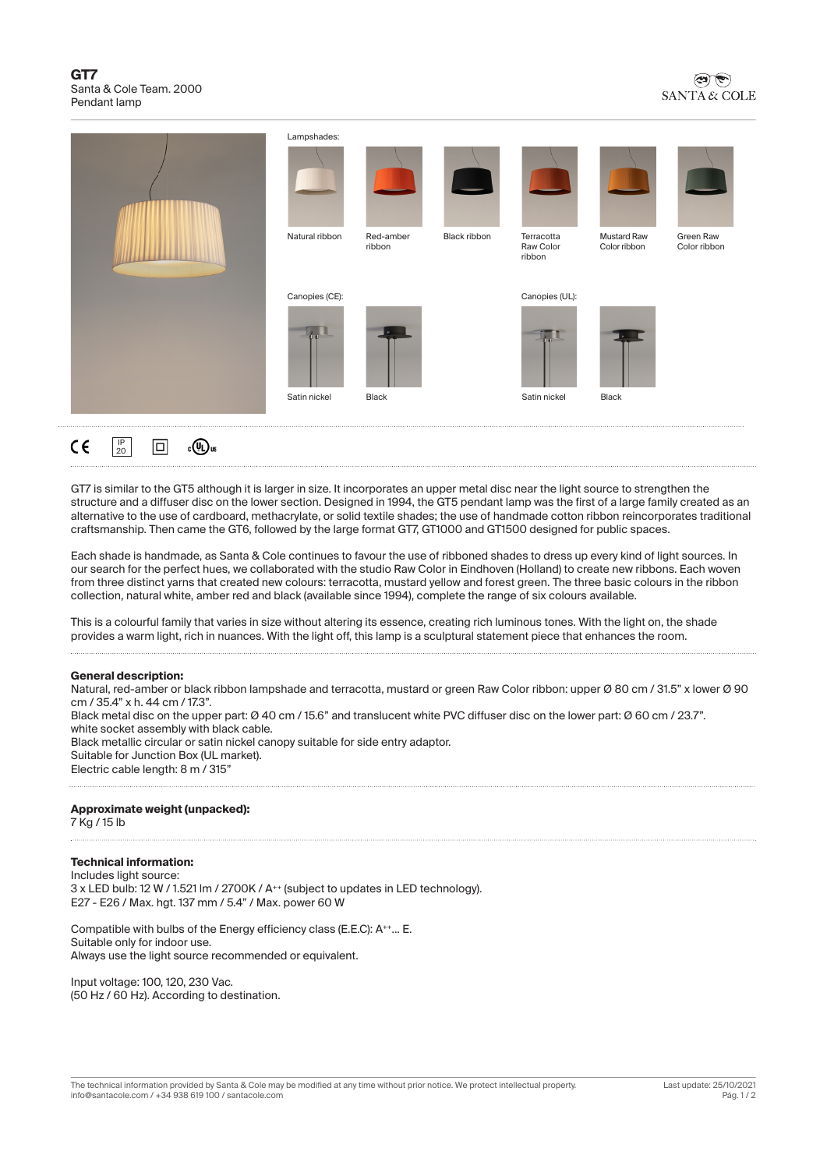#### **GT7** Santa & Cole Team. 2000 Pendant lamp



| Lampshades:<br>Natural ribbon  | Red-amber<br>ribbon | <b>Alley</b><br>Black ribbon | Terracotta<br>Raw Color<br>ribbon | <b>Mustard Raw</b><br>Color ribbon | Green Raw<br>Color ribbon |
|--------------------------------|---------------------|------------------------------|-----------------------------------|------------------------------------|---------------------------|
| Canopies (CE):<br>Satin nickel | Black               |                              | Canopies (UL):<br>Satin nickel    | Black                              |                           |

GT7 is similar to the GT5 although it is larger in size. It incorporates an upper metal disc near the light source to strengthen the structure and a diffuser disc on the lower section. Designed in 1994, the GT5 pendant lamp was the first of a large family created as an alternative to the use of cardboard, methacrylate, or solid textile shades; the use of handmade cotton ribbon reincorporates traditional craftsmanship. Then came the GT6, followed by the large format GT7, GT1000 and GT1500 designed for public spaces.

Each shade is handmade, as Santa & Cole continues to favour the use of ribboned shades to dress up every kind of light sources. In our search for the perfect hues, we collaborated with the studio Raw Color in Eindhoven (Holland) to create new ribbons. Each woven from three distinct yarns that created new colours: terracotta, mustard yellow and forest green. The three basic colours in the ribbon collection, natural white, amber red and black (available since 1994), complete the range of six colours available.

This is a colourful family that varies in size without altering its essence, creating rich luminous tones. With the light on, the shade provides a warm light, rich in nuances. With the light off, this lamp is a sculptural statement piece that enhances the room.

#### **General description:**

IP 20 冋

 $_{c}$ (Dus

 $\epsilon$ 

Natural, red-amber or black ribbon lampshade and terracotta, mustard or green Raw Color ribbon: upper Ø 80 cm / 31.5" x lower Ø 90 cm / 35.4" x h. 44 cm / 17.3". Black metal disc on the upper part: Ø 40 cm / 15.6" and translucent white PVC diffuser disc on the lower part: Ø 60 cm / 23.7". white socket assembly with black cable. Black metallic circular or satin nickel canopy suitable for side entry adaptor. Suitable for Junction Box (UL market). Electric cable length: 8 m / 315"

#### **Approximate weight (unpacked):**

7 Kg / 15 lb

### **Technical information:**

Includes light source: 3 x LED bulb: 12 W / 1.521 lm / 2700K / A<sup>++</sup> (subject to updates in LED technology). E27 - E26 / Max. hgt. 137 mm / 5.4" / Max. power 60 W

Compatible with bulbs of the Energy efficiency class (E.E.C): A++... E. Suitable only for indoor use. Always use the light source recommended or equivalent.

Input voltage: 100, 120, 230 Vac. (50 Hz / 60 Hz). According to destination.